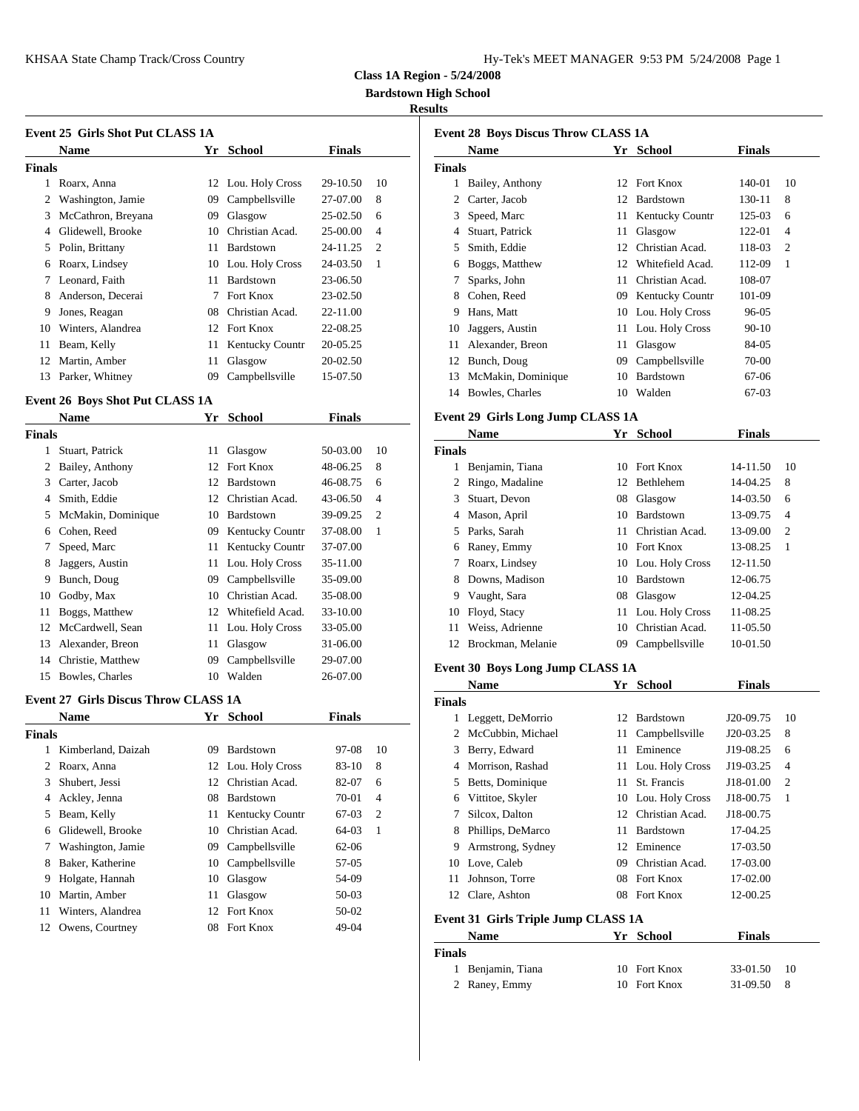| Iy-Tek's MEET MANAGER 9:53 PM 5/24/2008 Page 1 |  |  |  |
|------------------------------------------------|--|--|--|
|------------------------------------------------|--|--|--|

**Class 1A Region - 5/24/2008**

**Bardstown High School**

#### **Results**

|        | <b>Event 25 Girls Shot Put CLASS 1A</b> |    |                    |               |                |               | Event 28 B |
|--------|-----------------------------------------|----|--------------------|---------------|----------------|---------------|------------|
|        | <b>Name</b>                             | Yr | School             | <b>Finals</b> |                |               | <b>Nam</b> |
| Finals |                                         |    |                    |               |                | <b>Finals</b> |            |
|        | Roarx, Anna                             |    | 12 Lou. Holy Cross | 29-10.50      | 10             | 1.            | Bailey     |
| 2      | Washington, Jamie                       | 09 | Campbellsville     | 27-07.00      | 8              | 2             | Carter     |
| 3      | McCathron, Breyana                      | 09 | Glasgow            | 25-02.50      | 6              | 3             | Speed      |
| 4      | Glidewell, Brooke                       | 10 | Christian Acad.    | 25-00.00      | $\overline{4}$ | 4             | Stuart     |
| 5      | Polin, Brittany                         |    | 11 Bardstown       | 24-11.25      | $\overline{c}$ | 5             | Smith      |
| 6      | Roarx, Lindsey                          |    | 10 Lou. Holy Cross | 24-03.50      | $\mathbf{1}$   | 6             | Bogg:      |
| 7      | Leonard, Faith                          | 11 | Bardstown          | 23-06.50      |                | 7             | Spark      |
| 8      | Anderson, Decerai                       | 7  | Fort Knox          | 23-02.50      |                | 8             | Coher      |
| 9      | Jones, Reagan                           | 08 | Christian Acad.    | 22-11.00      |                | 9             | Hans,      |
| 10     | Winters, Alandrea                       |    | 12 Fort Knox       | 22-08.25      |                | 10            | Jagge      |
| 11     | Beam, Kelly                             |    | 11 Kentucky Countr | 20-05.25      |                | 11            | Alexa      |
| 12     | Martin, Amber                           | 11 | Glasgow            | 20-02.50      |                | 12            | Buncl      |
| 13     | Parker, Whitney                         | 09 | Campbellsville     | 15-07.50      |                | 13            | McM        |
|        |                                         |    |                    |               |                |               |            |

# **Event 26 Boys Shot Put CLASS 1A**<br>Name We School **Einel**

|        | <b>Name</b>        | Yr | School                 | <b>Finals</b> |                | Event 29 G    |              |
|--------|--------------------|----|------------------------|---------------|----------------|---------------|--------------|
| Finals |                    |    |                        |               |                |               | <b>Nam</b>   |
| 1      | Stuart, Patrick    | 11 | Glasgow                | 50-03.00      | 10             | <b>Finals</b> |              |
| 2      | Bailey, Anthony    |    | 12 Fort Knox           | 48-06.25      | 8              |               | Benja        |
| 3      | Carter, Jacob      |    | 12 Bardstown           | 46-08.75      | 6              | 2             | Ringo        |
|        | Smith, Eddie       | 12 | Christian Acad.        | 43-06.50      | $\overline{4}$ | 3             | Stuart       |
| 5.     | McMakin, Dominique | 10 | Bardstown              | 39-09.25      | $\overline{c}$ | 4             | Maso         |
| 6      | Cohen, Reed        | 09 | <b>Kentucky Countr</b> | 37-08.00      | 1              | 5             | Parks        |
| 7      | Speed, Marc        |    | 11 Kentucky Countr     | 37-07.00      |                | 6             | Raney        |
| 8      | Jaggers, Austin    |    | 11 Lou. Holy Cross     | 35-11.00      |                | 7             | Roarx        |
| 9      | Bunch, Doug        | 09 | Campbellsville         | 35-09.00      |                | 8             | Down         |
| 10     | Godby, Max         | 10 | Christian Acad.        | 35-08.00      |                | 9             | Vaugl        |
| 11     | Boggs, Matthew     |    | 12 Whitefield Acad.    | 33-10.00      |                | 10            | Floyd        |
| 12     | McCardwell, Sean   |    | 11 Lou. Holy Cross     | 33-05.00      |                | 11            | Weiss        |
| 13     | Alexander, Breon   | 11 | Glasgow                | 31-06.00      |                | 12            | <b>Brock</b> |
| 14     | Christie, Matthew  | 09 | Campbellsville         | 29-07.00      |                | Event 30 B    |              |
| 15     | Bowles, Charles    | 10 | Walden                 | 26-07.00      |                |               | $\mathbf{H}$ |

#### **Event 27 Girls Discus Throw CLASS 1A**

|        | <b>Name</b>          |    | Yr School          | <b>Finals</b> |                |            | Legge   |
|--------|----------------------|----|--------------------|---------------|----------------|------------|---------|
| Finals |                      |    |                    |               |                |            | 2 McCu  |
|        | 1 Kimberland, Daizah | 09 | Bardstown          | 97-08         | 10             | 3          | Berry   |
| 2      | Roarx, Anna          |    | 12 Lou. Holy Cross | $83 - 10$     | 8              | 4          | Morri   |
| 3      | Shubert, Jessi       |    | 12 Christian Acad. | 82-07         | 6              |            | Betts.  |
| 4      | Ackley, Jenna        |    | 08 Bardstown       | 70-01         | $\overline{4}$ | 6          | Vittito |
| 5.     | Beam, Kelly          |    | 11 Kentucky Countr | 67-03         | 2              |            | Silco   |
|        | 6 Glidewell, Brooke  |    | 10 Christian Acad. | 64-03         | -1             |            | Philli  |
|        | Washington, Jamie    | 09 | Campbellsville     | $62 - 06$     |                | 9          | Arms    |
| 8      | Baker, Katherine     |    | 10 Campbellsville  | 57-05         |                | 10         | Love,   |
| 9      | Holgate, Hannah      |    | 10 Glasgow         | 54-09         |                | 11         | Johns   |
| 10     | Martin, Amber        | 11 | Glasgow            | $50-03$       |                | 12         | Clare.  |
| 11     | Winters, Alandrea    |    | 12 Fort Knox       | 50-02         |                | Event 31 G |         |
| 12     | Owens, Courtney      |    | 08 Fort Knox       | 49-04         |                |            | Nam     |
|        |                      |    |                    |               |                |            |         |

|        | <b>Event 28 Boys Discus Throw CLASS 1A</b> |      |                        |               |                |
|--------|--------------------------------------------|------|------------------------|---------------|----------------|
|        | <b>Name</b>                                | Yr - | School                 | <b>Finals</b> |                |
| Finals |                                            |      |                        |               |                |
| 1      | Bailey, Anthony                            | 12   | Fort Knox              | 140-01        | 10             |
| 2      | Carter, Jacob                              | 12   | Bardstown              | 130-11        | 8              |
| 3      | Speed, Marc                                |      | 11 Kentucky Countr     | 125-03        | 6              |
| 4      | Stuart, Patrick                            | 11   | Glasgow                | 122-01        | $\overline{4}$ |
| 5      | Smith, Eddie                               | 12   | Christian Acad.        | 118-03        | $\overline{c}$ |
| 6      | Boggs, Matthew                             | 12   | Whitefield Acad.       | 112-09        | 1              |
| 7      | Sparks, John                               | 11   | Christian Acad.        | 108-07        |                |
| 8      | Cohen, Reed                                | 09   | <b>Kentucky Countr</b> | 101-09        |                |
| 9      | Hans, Matt                                 | 10   | Lou. Holy Cross        | 96-05         |                |
| 10     | Jaggers, Austin                            |      | 11 Lou. Holy Cross     | $90 - 10$     |                |
| 11     | Alexander, Breon                           | 11   | Glasgow                | 84-05         |                |
| 12     | Bunch, Doug                                | 09   | Campbellsville         | 70-00         |                |
| 13     | McMakin, Dominique                         | 10   | Bardstown              | 67-06         |                |
| 14     | Bowles, Charles                            | 10   | Walden                 | 67-03         |                |
|        |                                            |      |                        |               |                |

### **Event 29 Girls Long Jump CLASS 1A**

|               | <b>Name</b>       | Yr | <b>School</b>      | <b>Finals</b> |                |
|---------------|-------------------|----|--------------------|---------------|----------------|
| <b>Finals</b> |                   |    |                    |               |                |
|               | Benjamin, Tiana   | 10 | Fort Knox          | 14-11.50      | 10             |
| 2             | Ringo, Madaline   | 12 | Bethlehem          | 14-04.25      | 8              |
| 3             | Stuart, Devon     | 08 | Glasgow            | 14-03.50      | 6              |
| 4             | Mason, April      | 10 | Bardstown          | 13-09.75      | $\overline{4}$ |
| 5.            | Parks, Sarah      | 11 | Christian Acad.    | 13-09.00      | 2              |
| 6             | Raney, Emmy       | 10 | Fort Knox          | 13-08.25      | -1             |
|               | Roarx, Lindsey    |    | 10 Lou. Holy Cross | 12-11.50      |                |
| 8             | Downs, Madison    | 10 | Bardstown          | 12-06.75      |                |
| 9             | Vaught, Sara      | 08 | Glasgow            | 12-04.25      |                |
| 10            | Floyd, Stacy      | 11 | Lou. Holy Cross    | 11-08.25      |                |
| 11            | Weiss, Adrienne   | 10 | Christian Acad.    | 11-05.50      |                |
| 12            | Brockman, Melanie | 09 | Campbellsville     | 10-01.50      |                |

### **Event 30 Boys Long Jump CLASS 1A**

|        | <b>Name</b>                         | Yr  | School             | <b>Finals</b> |                |
|--------|-------------------------------------|-----|--------------------|---------------|----------------|
| Finals |                                     |     |                    |               |                |
|        | Leggett, DeMorrio                   | 12  | Bardstown          | J20-09.75     | 10             |
|        | McCubbin, Michael                   |     | 11 Campbellsville  | J20-03.25     | 8              |
| 3      | Berry, Edward                       | 11  | Eminence           | J19-08.25     | 6              |
| 4      | Morrison, Rashad                    |     | 11 Lou. Holy Cross | J19-03.25     | $\overline{4}$ |
| 5.     | Betts, Dominique                    | 11. | St. Francis        | J18-01.00     | 2              |
| 6      | Vittitoe, Skyler                    |     | 10 Lou. Holy Cross | J18-00.75     | 1              |
| 7      | Silcox, Dalton                      | 12  | Christian Acad.    | J18-00.75     |                |
| 8      | Phillips, DeMarco                   | 11  | Bardstown          | 17-04.25      |                |
| 9      | Armstrong, Sydney                   |     | 12 Eminence        | 17-03.50      |                |
| 10     | Love, Caleb                         | 09  | Christian Acad.    | 17-03.00      |                |
| 11     | Johnson, Torre                      |     | 08 Fort Knox       | 17-02.00      |                |
| 12     | Clare, Ashton                       |     | 08 Fort Knox       | 12-00.25      |                |
|        | Event 31 Girls Triple Jump CLASS 1A |     |                    |               |                |

| <b>Name</b>       | Yr School    | <b>Finals</b> |  |
|-------------------|--------------|---------------|--|
| <b>Finals</b>     |              |               |  |
| 1 Benjamin, Tiana | 10 Fort Knox | 33-01.50 10   |  |
| 2 Raney, Emmy     | 10 Fort Knox | $31-09.50$ 8  |  |